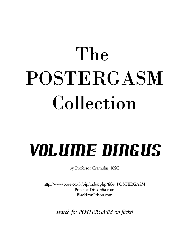### The POSTERGASM Collection

### volume dingus

by Professor Cramulus, KSC

http://www.poee.co.uk/bip/index.php?title=POSTERGASM PrincipiaDiscordia.com BlackIronPrison.com

*search for POSTERGASM on flickr!*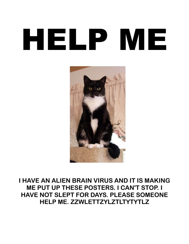## HELP ME



**I HAVE AN ALIEN BRAIN VIRUS AND IT IS MAKING ME PUT UP THESE POSTERS. I CAN'T STOP. I HAVE NOT SLEPT FOR DAYS. PLEASE SOMEONE HELP ME. ZZWLETTZYLZTLTYTYTLZ**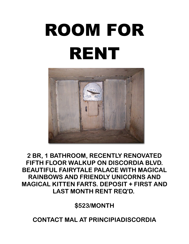### ROOM FOR RENT



**2 BR, 1 BATHROOM, RECENTLY RENOVATED FIFTH FLOOR WALKUP ON DISCORDIA BLVD. BEAUTIFUL FAIRYTALE PALACE WITH MAGICAL RAINBOWS AND FRIENDLY UNICORNS AND MAGICAL KITTEN FARTS. DEPOSIT + FIRST AND LAST MONTH RENT REQ'D.** 

**\$523/MONTH**

**CONTACT MAL AT PRINCIPIADISCORDIA**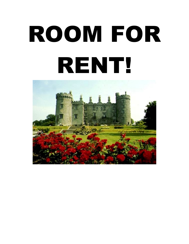### ROOM FOR RENT!

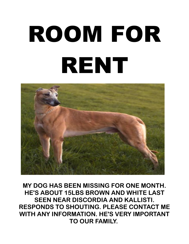### ROOM FOR RENT



**MY DOG HAS BEEN MISSING FOR ONE MONTH. HE'S ABOUT 15LBS BROWN AND WHITE LAST SEEN NEAR DISCORDIA AND KALLISTI. RESPONDS TO SHOUTING. PLEASE CONTACT ME WITH ANY INFORMATION. HE'S VERY IMPORTANT TO OUR FAMILY.**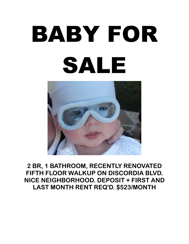### BABY FOR SALE



**2 BR, 1 BATHROOM, RECENTLY RENOVATED FIFTH FLOOR WALKUP ON DISCORDIA BLVD. NICE NEIGHBORHOOD. DEPOSIT + FIRST AND LAST MONTH RENT REQ'D. \$523/MONTH**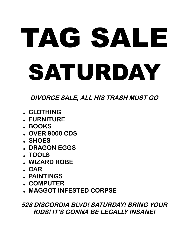# TAG SALE SATURDAY

**DIVORCE SALE, ALL HIS TRASH MUST GO**

- **CLOTHING**
- **FURNITURE**
- **BOOKS**
- **OVER 9000 CDS**
- **SHOES**
- **DRAGON EGGS**
- **TOOLS**
- **WIZARD ROBE**
- **CAR**
- **PAINTINGS**
- **COMPUTER**
- **MAGGOT INFESTED CORPSE**

#### **523 DISCORDIA BLVD! SATURDAY! BRING YOUR KIDS! IT'S GONNA BE LEGALLY INSANE!**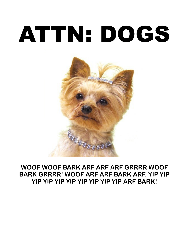### ATTN: DOGS



**WOOF WOOF BARK ARF ARF ARF GRRRR WOOF BARK GRRRR! WOOF ARF ARF BARK ARF. YIP YIP YIP YIP YIP YIP YIP YIP YIP YIP ARF BARK!**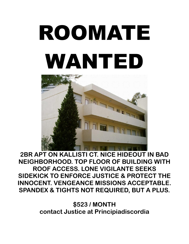### ROOMATE WANTED



**2BR APT ON KALLISTI CT. NICE HIDEOUT IN BAD NEIGHBORHOOD. TOP FLOOR OF BUILDING WITH ROOF ACCESS. LONE VIGILANTE SEEKS SIDEKICK TO ENFORCE JUSTICE & PROTECT THE INNOCENT. VENGEANCE MISSIONS ACCEPTABLE. SPANDEX & TIGHTS NOT REQUIRED, BUT A PLUS.**

> **\$523 / MONTH contact Justice at Principiadiscordia**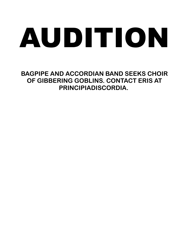# AUDITION

**BAGPIPE AND ACCORDIAN BAND SEEKS CHOIR OF GIBBERING GOBLINS. CONTACT ERIS AT PRINCIPIADISCORDIA.**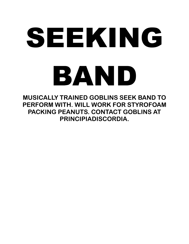# SEEKING BAND

**MUSICALLY TRAINED GOBLINS SEEK BAND TO PERFORM WITH. WILL WORK FOR STYROFOAM PACKING PEANUTS. CONTACT GOBLINS AT PRINCIPIADISCORDIA.**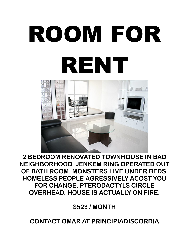# ROOM FOR RENT



**2 BEDROOM RENOVATED TOWNHOUSE IN BAD NEIGHBORHOOD. JENKEM RING OPERATED OUT OF BATH ROOM. MONSTERS LIVE UNDER BEDS. HOMELESS PEOPLE AGRESSIVELY ACOST YOU FOR CHANGE. PTERODACTYLS CIRCLE OVERHEAD. HOUSE IS ACTUALLY ON FIRE.**

**\$523 / MONTH**

**CONTACT OMAR AT PRINCIPIADISCORDIA**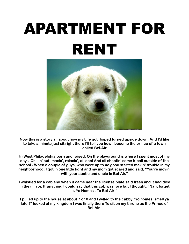### APARTMENT FOR RENT



**Now this is a story all about how my Life got flipped turned upside down. And I'd like to take a minute just sit right there I'll tell you how I become the prince of a town called Bel-Air**

**In West Philadelphia born and raised, On the playground is where I spent most of my days. Chillin' out, maxin', relaxin', all cool And all shootin' some b-ball outside of the school - When a couple of guys, who were up to no good started makin' trouble in my neighborhood. I got in one little fight and my mom got scared and said, "You're movin' with your auntie and uncle in Bel-Air."**

**I whistled for a cab and when it came near the license plate said fresh and it had dice in the mirror. If anything I could say that this cab was rare but I thought, "Nah, forget it. Yo Homes.. To Bel-Air!"**

**I pulled up to the house at about 7 or 8 and I yelled to the cabby "Yo homes, smell ya later!" looked at my kingdom I was finally there To sit on my throne as the Prince of Bel-Air.**